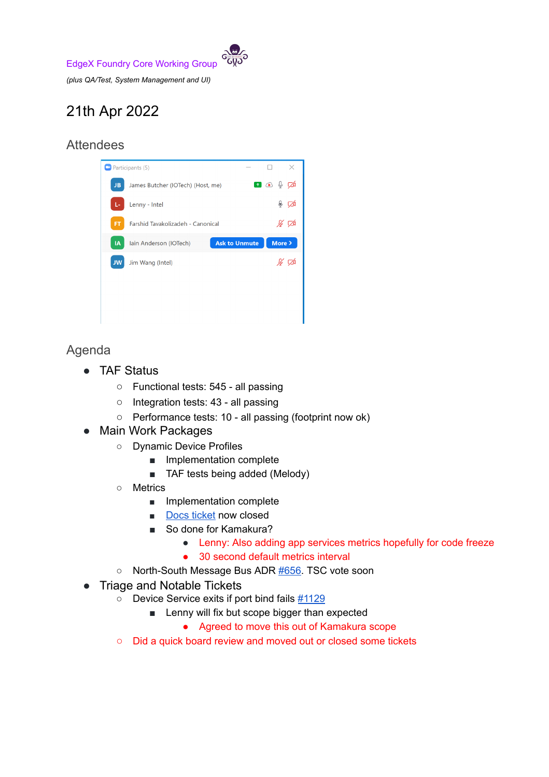EdgeX Foundry Core Working Group

*(plus QA/Test, System Management and UI)*

## 21th Apr 2022

## Attendees



Agenda

- TAF Status
	- Functional tests: 545 all passing
	- Integration tests: 43 all passing
	- Performance tests: 10 all passing (footprint now ok)
- Main Work Packages
	- Dynamic Device Profiles
		- Implementation complete
		- TAF tests being added (Melody)
	- Metrics
		- Implementation complete
		- Docs [ticket](https://github.com/edgexfoundry/edgex-docs/issues/733) now closed
		- So done for Kamakura?
			- Lenny: Also adding app services metrics hopefully for code freeze
			- 30 second default metrics interval
	- North-South Message Bus ADR [#656.](https://github.com/edgexfoundry/edgex-docs/pull/656) TSC vote soon
- Triage and Notable Tickets
	- **○** Device Service exits if port bind fails [#1129](https://github.com/edgexfoundry/device-sdk-go/issues/1129#issuecomment-1096892682)
		- Lenny will fix but scope bigger than expected
			- Agreed to move this out of Kamakura scope
	- Did a quick board review and moved out or closed some tickets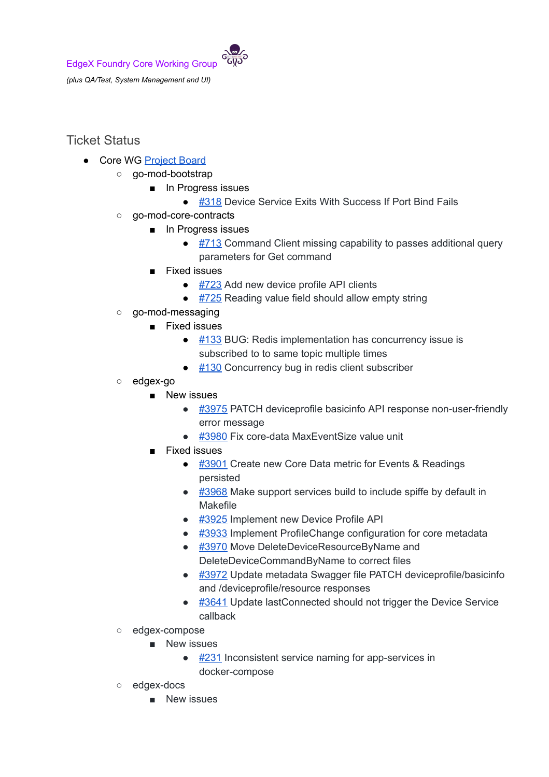

## Ticket Status

- Core WG [Project](https://github.com/orgs/edgexfoundry/projects/25) Board
	- go-mod-bootstrap
		- In Progress issues
			- [#318](https://github.com/edgexfoundry/go-mod-bootstrap/issues/318) Device Service Exits With Success If Port Bind Fails
	- go-mod-core-contracts
		- In Progress issues
			- $\bullet$  [#713](https://github.com/edgexfoundry/go-mod-core-contracts/issues/713) Command Client missing capability to passes additional query parameters for Get command
		- Fixed issues
			- $\bullet$  [#723](https://github.com/edgexfoundry/go-mod-core-contracts/issues/723) Add new device profile API clients
			- $\bullet$  [#725](https://github.com/edgexfoundry/go-mod-core-contracts/issues/725) Reading value field should allow empty string
	- go-mod-messaging
		- Fixed issues
			- $\bullet$  [#133](https://github.com/edgexfoundry/go-mod-messaging/issues/133) BUG: Redis implementation has concurrency issue is subscribed to to same topic multiple times
			- $\bullet$  [#130](https://github.com/edgexfoundry/go-mod-messaging/issues/130) Concurrency bug in redis client subscriber
	- edgex-go
		- New issues
			- [#3975](https://github.com/edgexfoundry/edgex-go/issues/3975) PATCH deviceprofile basicinfo API response non-user-friendly error message
			- [#3980](https://github.com/edgexfoundry/edgex-go/issues/3980) Fix core-data MaxEventSize value unit
		- Fixed issues
			- [#3901](https://github.com/edgexfoundry/edgex-go/issues/3901) Create new Core Data metric for Events & Readings persisted
			- $\bullet$  [#3968](https://github.com/edgexfoundry/edgex-go/issues/3968) Make support services build to include spiffe by default in Makefile
			- $\bullet$  [#3925](https://github.com/edgexfoundry/edgex-go/issues/3925) Implement new Device Profile API
			- [#3933](https://github.com/edgexfoundry/edgex-go/issues/3933) Implement ProfileChange configuration for core metadata
			- [#3970](https://github.com/edgexfoundry/edgex-go/issues/3970) Move DeleteDeviceResourceByName and DeleteDeviceCommandByName to correct files
			- [#3972](https://github.com/edgexfoundry/edgex-go/issues/3972) Update metadata Swagger file PATCH deviceprofile/basicinfo and /deviceprofile/resource responses
			- [#3641](https://github.com/edgexfoundry/edgex-go/issues/3641) Update lastConnected should not trigger the Device Service callback
	- edgex-compose
		- New issues
			- $\bullet$  [#231](https://github.com/edgexfoundry/edgex-compose/issues/231) Inconsistent service naming for app-services in docker-compose
	- edgex-docs
		- New issues